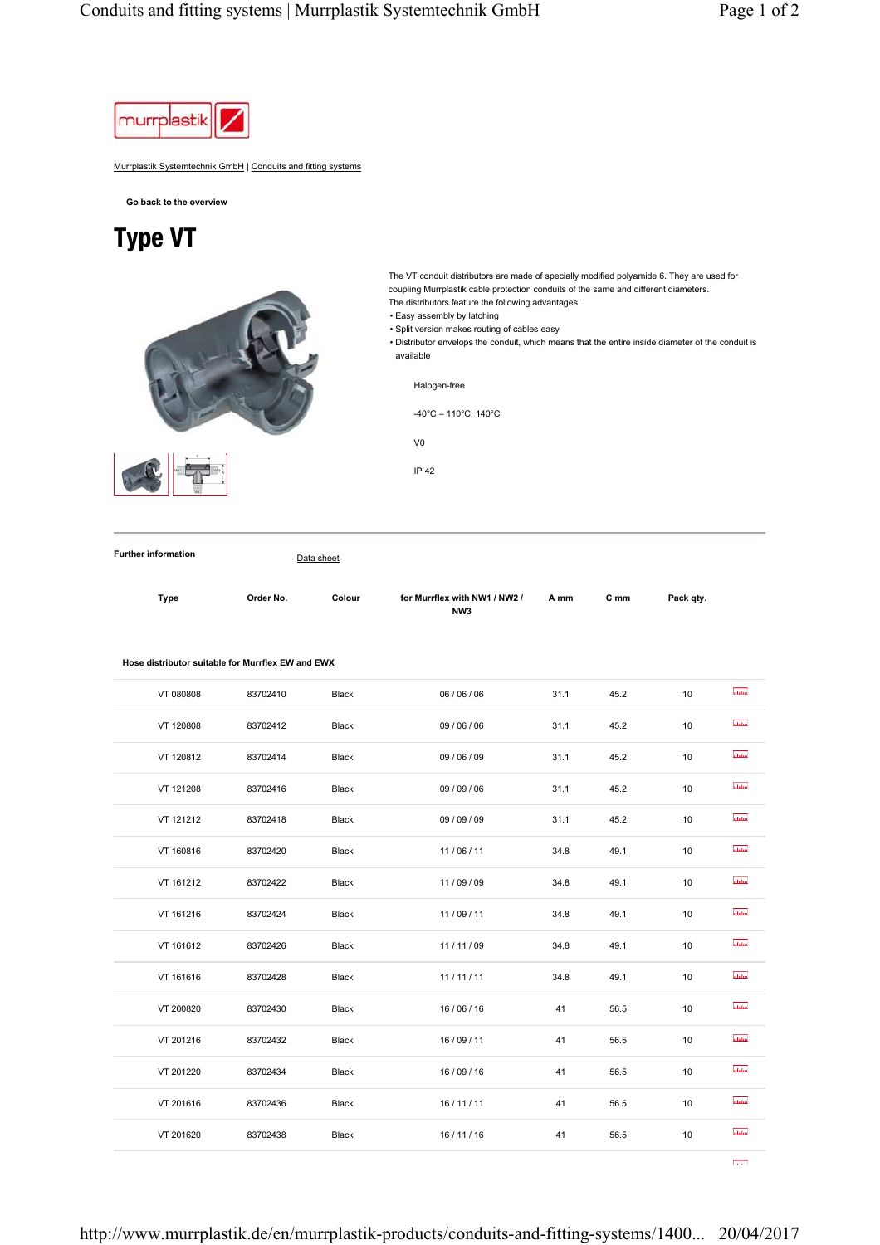

Murrplastik Systemtechnik GmbH | Conduits and fitting systems

**Go back to the overview**

## Type VT



The VT conduit distributors are made of specially modified polyamide 6. They are used for coupling Murrplastik cable protection conduits of the same and different diameters. The distributors feature the following advantages:

• Easy assembly by latching

• Split version makes routing of cables easy

• Distributor envelops the conduit, which means that the entire inside diameter of the conduit is available

Halogen-free

-40°C – 110°C, 140°C



V0

IP 42

**Further information** Data sheet

| Dе<br>v<br>۰,<br>× |  |
|--------------------|--|
|                    |  |

Type **Order No.** Colour for Murrflex with NW1 / NW2 / **NW3 A mm C mm Pack qty.**

|  | Hose distributor suitable for Murrflex EW and EWX |  |  |
|--|---------------------------------------------------|--|--|
|  |                                                   |  |  |

| VT 080808 | 83702410 | Black | 06 / 06 / 06 | 31.1 | 45.2 | 10 | <b>abilio</b>  |
|-----------|----------|-------|--------------|------|------|----|----------------|
| VT 120808 | 83702412 | Black | 09 / 06 / 06 | 31.1 | 45.2 | 10 | adalan         |
| VT 120812 | 83702414 | Black | 09 / 06 / 09 | 31.1 | 45.2 | 10 | <b>Informa</b> |
| VT 121208 | 83702416 | Black | 09 / 09 / 06 | 31.1 | 45.2 | 10 | ululm          |
| VT 121212 | 83702418 | Black | 09 / 09 / 09 | 31.1 | 45.2 | 10 | <b>utubu</b>   |
| VT 160816 | 83702420 | Black | 11/06/11     | 34.8 | 49.1 | 10 | <b>ability</b> |
| VT 161212 | 83702422 | Black | 11/09/09     | 34.8 | 49.1 | 10 | ubilin         |
| VT 161216 | 83702424 | Black | 11/09/11     | 34.8 | 49.1 | 10 | atatan.        |
| VT 161612 | 83702426 | Black | 11/11/09     | 34.8 | 49.1 | 10 | <b>ululus</b>  |
| VT 161616 | 83702428 | Black | 11/11/11     | 34.8 | 49.1 | 10 | abdu           |
| VT 200820 | 83702430 | Black | 16/06/16     | 41   | 56.5 | 10 | ubdo           |
| VT 201216 | 83702432 | Black | 16/09/11     | 41   | 56.5 | 10 | abdan.         |
| VT 201220 | 83702434 | Black | 16/09/16     | 41   | 56.5 | 10 | <b>Malan</b>   |
| VT 201616 | 83702436 | Black | 16/11/11     | 41   | 56.5 | 10 | <b>utubu</b>   |
| VT 201620 | 83702438 | Black | 16 / 11 / 16 | 41   | 56.5 | 10 | ubilin         |